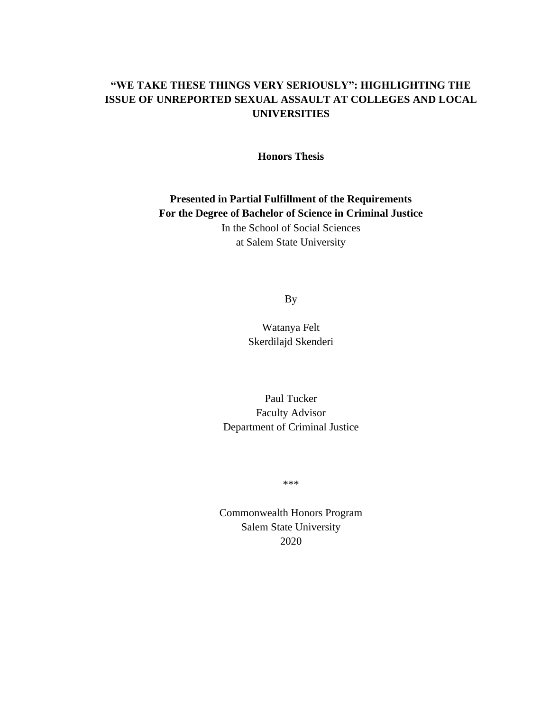### **"WE TAKE THESE THINGS VERY SERIOUSLY": HIGHLIGHTING THE ISSUE OF UNREPORTED SEXUAL ASSAULT AT COLLEGES AND LOCAL UNIVERSITIES**

**Honors Thesis**

**Presented in Partial Fulfillment of the Requirements For the Degree of Bachelor of Science in Criminal Justice** In the School of Social Sciences at Salem State University

By

Watanya Felt Skerdilajd Skenderi

Paul Tucker Faculty Advisor Department of Criminal Justice

\*\*\*

Commonwealth Honors Program Salem State University 2020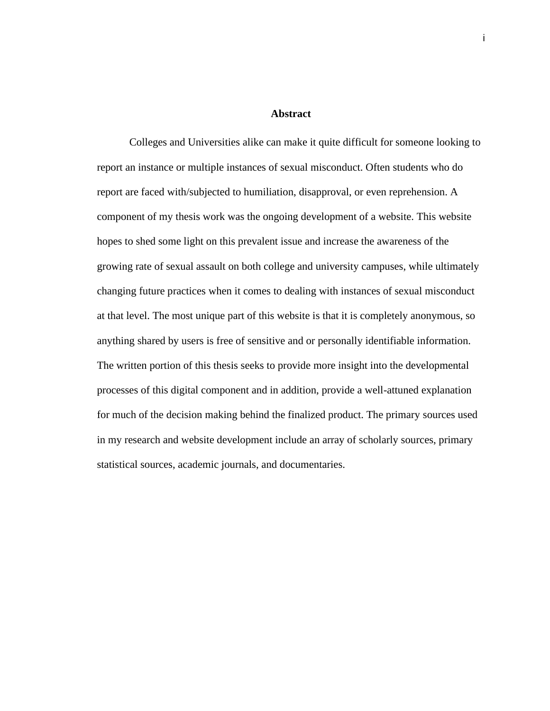#### **Abstract**

Colleges and Universities alike can make it quite difficult for someone looking to report an instance or multiple instances of sexual misconduct. Often students who do report are faced with/subjected to humiliation, disapproval, or even reprehension. A component of my thesis work was the ongoing development of a website. This website hopes to shed some light on this prevalent issue and increase the awareness of the growing rate of sexual assault on both college and university campuses, while ultimately changing future practices when it comes to dealing with instances of sexual misconduct at that level. The most unique part of this website is that it is completely anonymous, so anything shared by users is free of sensitive and or personally identifiable information. The written portion of this thesis seeks to provide more insight into the developmental processes of this digital component and in addition, provide a well-attuned explanation for much of the decision making behind the finalized product. The primary sources used in my research and website development include an array of scholarly sources, primary statistical sources, academic journals, and documentaries.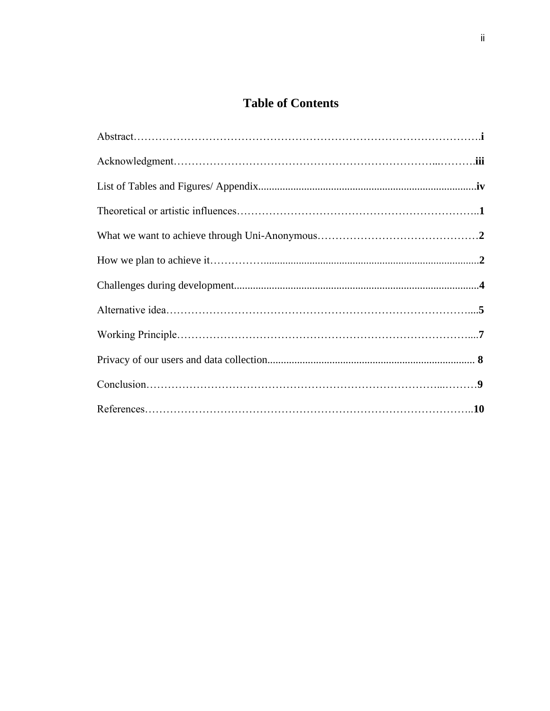# **Table of Contents**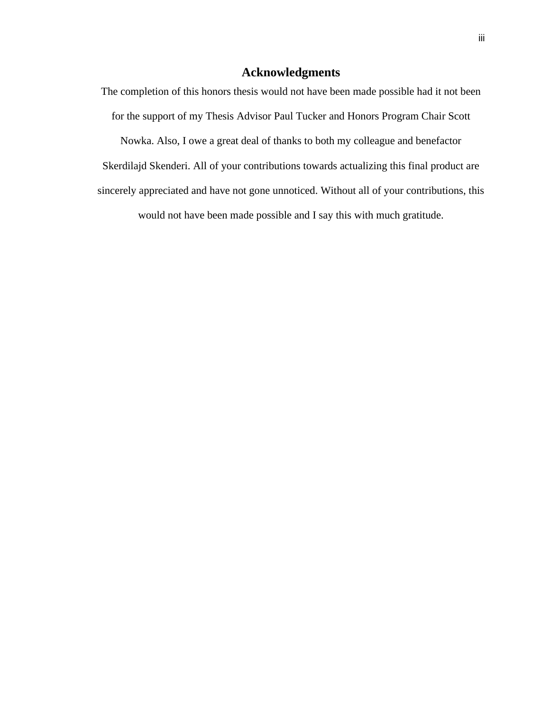### **Acknowledgments**

The completion of this honors thesis would not have been made possible had it not been for the support of my Thesis Advisor Paul Tucker and Honors Program Chair Scott Nowka. Also, I owe a great deal of thanks to both my colleague and benefactor Skerdilajd Skenderi. All of your contributions towards actualizing this final product are sincerely appreciated and have not gone unnoticed. Without all of your contributions, this would not have been made possible and I say this with much gratitude.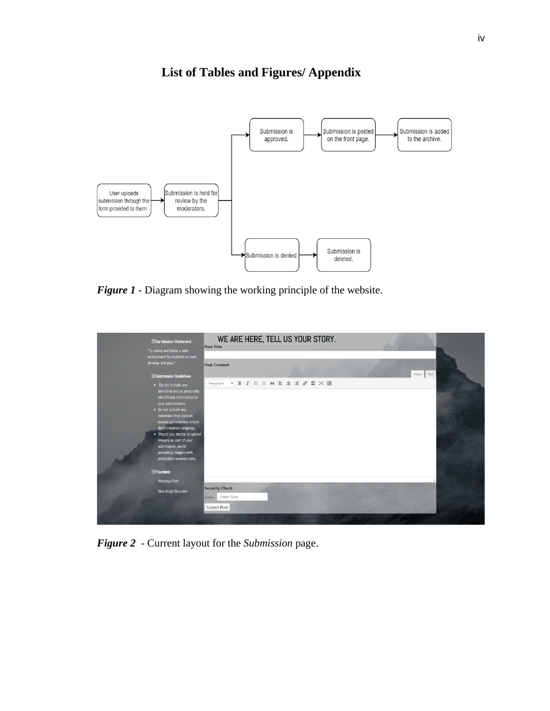

# **List of Tables and Figures/ Appendix**

*Figure 1 -* Diagram showing the working principle of the website.

| <b>ElOur Mission Statement</b><br>"To create and foster a safe                                                                                                                                                                                                                                                                                                                   | WE ARE HERE, TELL US YOUR STORY.<br><b>Post Title</b>                                       |  |
|----------------------------------------------------------------------------------------------------------------------------------------------------------------------------------------------------------------------------------------------------------------------------------------------------------------------------------------------------------------------------------|---------------------------------------------------------------------------------------------|--|
| environment for students to learn,<br>develop, and grow."                                                                                                                                                                                                                                                                                                                        | <b>Post Content</b><br>Visual<br>Text                                                       |  |
| El Submission Guidelines<br>• Do not include any<br>sensitive and or personally<br>identifiable information in<br>your submissions.<br>. Do not submit any<br>materials that contain<br>biased commentary and/or<br>discriminatory language.<br>· Should you decide to upload<br>images as part of your<br>submission, avoid<br>uploading images with<br>embedded location data. | $\bullet$ B $I \in E$ $\alpha \geq \alpha \leq \beta$ $\equiv \infty$ $\equiv$<br>Paragraph |  |
| EFounders<br>Watanya Felt<br>Skerdilajd Skenderi                                                                                                                                                                                                                                                                                                                                 | <b>Security Check</b><br>2+6= Enter Sum<br>Submit Post                                      |  |

*Figure 2 -* Current layout for the *Submission* page.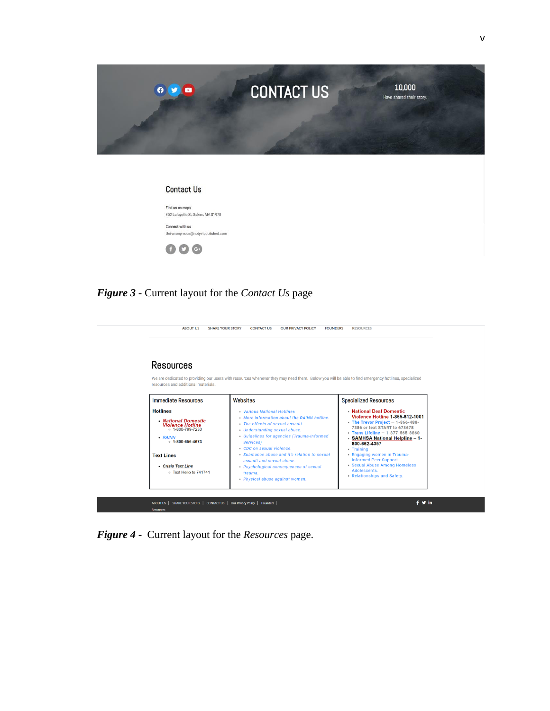

| Contact Us                        |
|-----------------------------------|
| Find us on maps                   |
| 352 Lafayette St, Salem, MA 01970 |
| Connect with us                   |
| Uni-anonymous@notyetpublished.com |

## *Figure 3 -* Current layout for the *Contact Us* page

| Resources<br>resources and additional materials.                                                                                                                                                                | We are dedicated to providing our users with resources whenever they may need them. Below you will be able to find emergency hotlines, specialized                                                                                                                                                                                                                                                               |                                                                                                                                                                                                                                                                                                                                                                                               |
|-----------------------------------------------------------------------------------------------------------------------------------------------------------------------------------------------------------------|------------------------------------------------------------------------------------------------------------------------------------------------------------------------------------------------------------------------------------------------------------------------------------------------------------------------------------------------------------------------------------------------------------------|-----------------------------------------------------------------------------------------------------------------------------------------------------------------------------------------------------------------------------------------------------------------------------------------------------------------------------------------------------------------------------------------------|
| <b>Immediate Resources</b>                                                                                                                                                                                      | Websites                                                                                                                                                                                                                                                                                                                                                                                                         | <b>Specialized Resources</b>                                                                                                                                                                                                                                                                                                                                                                  |
| <b>Hotlines</b><br>• National Domestic<br><b>Violence Hotline</b><br>$0.1 - 800 - 799 - 7233$<br>$\cdot$ RAINN<br>$0.1 - 800 - 656 - 4673$<br><b>Text Lines</b><br>- Crisis Text Line<br>o Text Hello to 741741 | <b>Various National Hotlines</b><br>. More information about the RAINN hotline.<br>. The effects of sexual assault.<br>• Understanding sexual abuse.<br>• Guidelines for agencies (Trauma-Informed<br>Services)<br>CDC on sexual violence.<br>• Substance abuse and it's relation to sexual<br>assault and sexual abuse.<br>• Psychological consequences of sexual<br>trauma.<br>• Physical abuse against women. | National Deaf Domestic<br><b>Violence Hotline 1-855-812-1001</b><br>• The Trevor Project $-1-866-488-$<br>7386 or text START to 678678<br>• Trans Lifeline $- 1 - 877 - 565 - 8860$<br>- SAMHSA National Helpline - 1-<br>800-662-4357<br>• Training<br>• Engaging women in Trauma-<br>Informed Peer Support.<br>• Sexual Abuse Among Homeless<br>Adolescents.<br>• Relationships and Safety. |

*Figure 4 -* Current layout for the *Resources* page.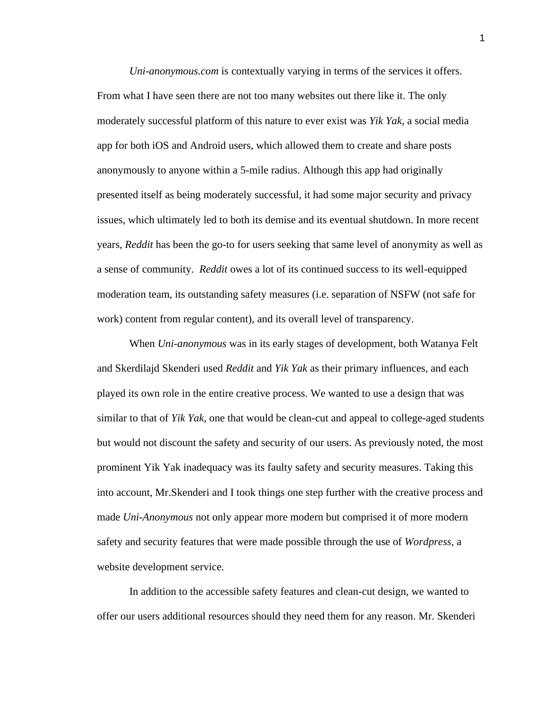*Uni-anonymous.com* is contextually varying in terms of the services it offers. From what I have seen there are not too many websites out there like it. The only moderately successful platform of this nature to ever exist was *Yik Yak*, a social media app for both iOS and Android users, which allowed them to create and share posts anonymously to anyone within a 5-mile radius. Although this app had originally presented itself as being moderately successful, it had some major security and privacy issues, which ultimately led to both its demise and its eventual shutdown. In more recent years, *Reddit* has been the go-to for users seeking that same level of anonymity as well as a sense of community. *Reddit* owes a lot of its continued success to its well-equipped moderation team, its outstanding safety measures (i.e. separation of NSFW (not safe for work) content from regular content), and its overall level of transparency.

When *Uni-anonymous* was in its early stages of development, both Watanya Felt and Skerdilajd Skenderi used *Reddit* and *Yik Yak* as their primary influences, and each played its own role in the entire creative process. We wanted to use a design that was similar to that of *Yik Yak*, one that would be clean-cut and appeal to college-aged students but would not discount the safety and security of our users. As previously noted, the most prominent Yik Yak inadequacy was its faulty safety and security measures. Taking this into account, Mr.Skenderi and I took things one step further with the creative process and made *Uni-Anonymous* not only appear more modern but comprised it of more modern safety and security features that were made possible through the use of *Wordpress,* a website development service.

In addition to the accessible safety features and clean-cut design, we wanted to offer our users additional resources should they need them for any reason. Mr. Skenderi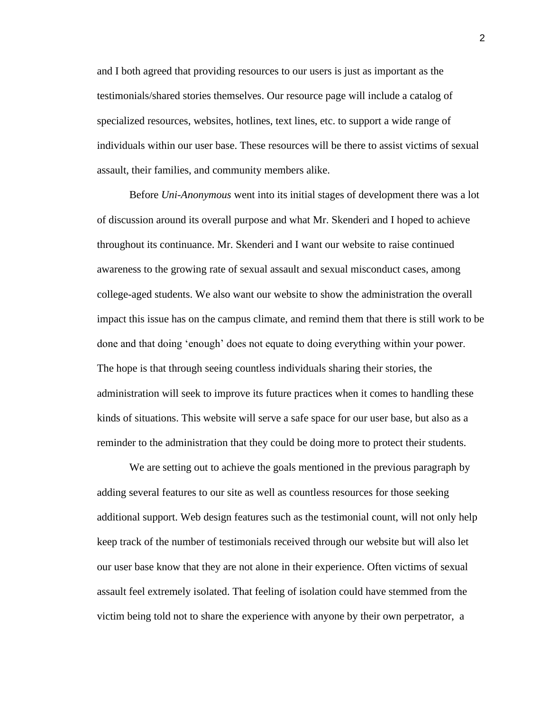and I both agreed that providing resources to our users is just as important as the testimonials/shared stories themselves. Our resource page will include a catalog of specialized resources, websites, hotlines, text lines, etc. to support a wide range of individuals within our user base. These resources will be there to assist victims of sexual assault, their families, and community members alike.

Before *Uni-Anonymous* went into its initial stages of development there was a lot of discussion around its overall purpose and what Mr. Skenderi and I hoped to achieve throughout its continuance. Mr. Skenderi and I want our website to raise continued awareness to the growing rate of sexual assault and sexual misconduct cases, among college-aged students. We also want our website to show the administration the overall impact this issue has on the campus climate, and remind them that there is still work to be done and that doing 'enough' does not equate to doing everything within your power. The hope is that through seeing countless individuals sharing their stories, the administration will seek to improve its future practices when it comes to handling these kinds of situations. This website will serve a safe space for our user base, but also as a reminder to the administration that they could be doing more to protect their students.

We are setting out to achieve the goals mentioned in the previous paragraph by adding several features to our site as well as countless resources for those seeking additional support. Web design features such as the testimonial count, will not only help keep track of the number of testimonials received through our website but will also let our user base know that they are not alone in their experience. Often victims of sexual assault feel extremely isolated. That feeling of isolation could have stemmed from the victim being told not to share the experience with anyone by their own perpetrator, a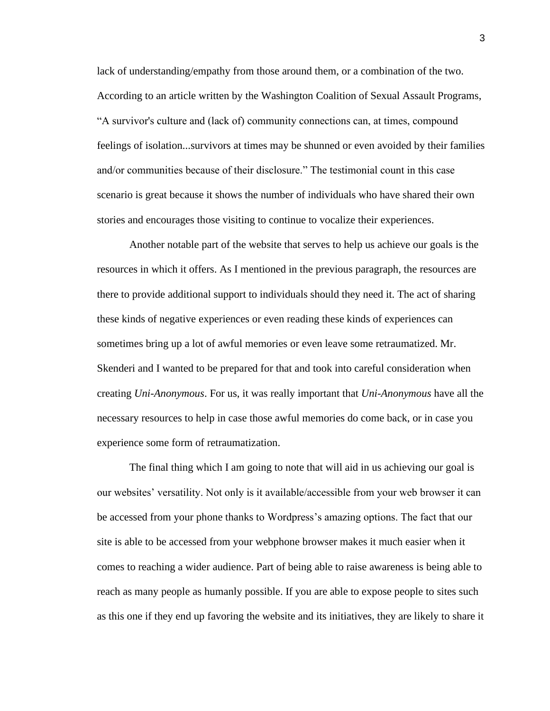lack of understanding/empathy from those around them, or a combination of the two. According to an article written by the Washington Coalition of Sexual Assault Programs, "A survivor's culture and (lack of) community connections can, at times, compound feelings of isolation...survivors at times may be shunned or even avoided by their families and/or communities because of their disclosure." The testimonial count in this case scenario is great because it shows the number of individuals who have shared their own stories and encourages those visiting to continue to vocalize their experiences.

Another notable part of the website that serves to help us achieve our goals is the resources in which it offers. As I mentioned in the previous paragraph, the resources are there to provide additional support to individuals should they need it. The act of sharing these kinds of negative experiences or even reading these kinds of experiences can sometimes bring up a lot of awful memories or even leave some retraumatized. Mr. Skenderi and I wanted to be prepared for that and took into careful consideration when creating *Uni-Anonymous*. For us, it was really important that *Uni-Anonymous* have all the necessary resources to help in case those awful memories do come back, or in case you experience some form of retraumatization.

The final thing which I am going to note that will aid in us achieving our goal is our websites' versatility. Not only is it available/accessible from your web browser it can be accessed from your phone thanks to Wordpress's amazing options. The fact that our site is able to be accessed from your webphone browser makes it much easier when it comes to reaching a wider audience. Part of being able to raise awareness is being able to reach as many people as humanly possible. If you are able to expose people to sites such as this one if they end up favoring the website and its initiatives, they are likely to share it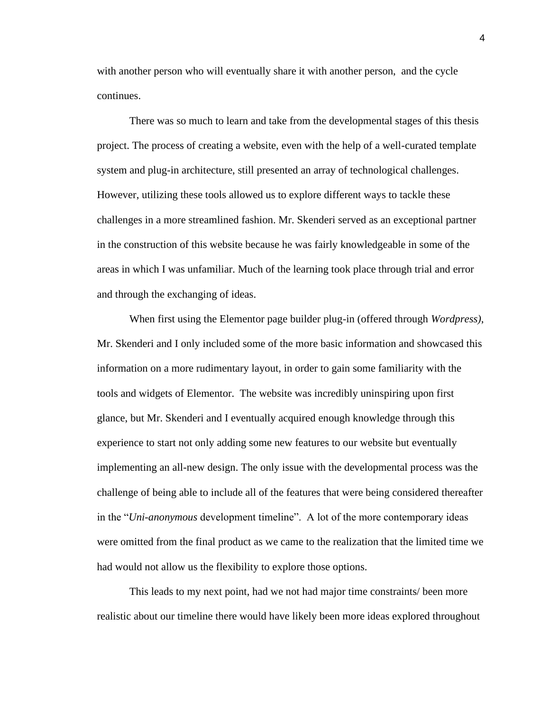with another person who will eventually share it with another person, and the cycle continues.

There was so much to learn and take from the developmental stages of this thesis project. The process of creating a website, even with the help of a well-curated template system and plug-in architecture, still presented an array of technological challenges. However, utilizing these tools allowed us to explore different ways to tackle these challenges in a more streamlined fashion. Mr. Skenderi served as an exceptional partner in the construction of this website because he was fairly knowledgeable in some of the areas in which I was unfamiliar. Much of the learning took place through trial and error and through the exchanging of ideas.

When first using the Elementor page builder plug-in (offered through *Wordpress)*, Mr. Skenderi and I only included some of the more basic information and showcased this information on a more rudimentary layout, in order to gain some familiarity with the tools and widgets of Elementor. The website was incredibly uninspiring upon first glance, but Mr. Skenderi and I eventually acquired enough knowledge through this experience to start not only adding some new features to our website but eventually implementing an all-new design. The only issue with the developmental process was the challenge of being able to include all of the features that were being considered thereafter in the "*Uni-anonymous* development timeline". A lot of the more contemporary ideas were omitted from the final product as we came to the realization that the limited time we had would not allow us the flexibility to explore those options.

This leads to my next point, had we not had major time constraints/ been more realistic about our timeline there would have likely been more ideas explored throughout

4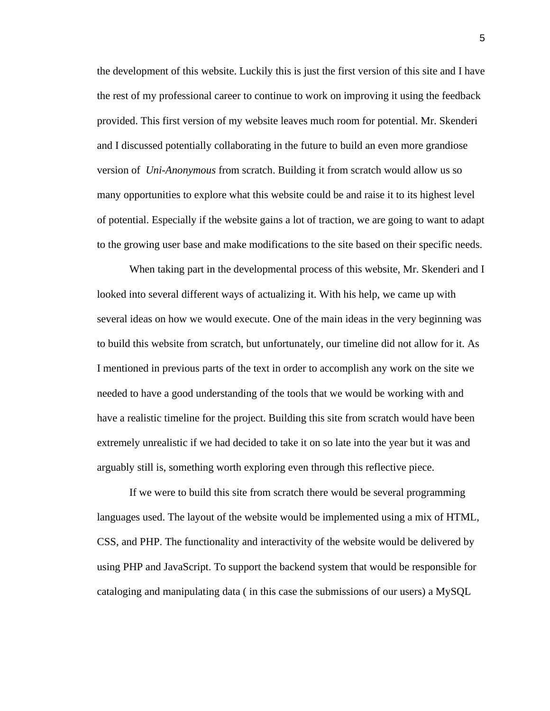the development of this website. Luckily this is just the first version of this site and I have the rest of my professional career to continue to work on improving it using the feedback provided. This first version of my website leaves much room for potential. Mr. Skenderi and I discussed potentially collaborating in the future to build an even more grandiose version of *Uni-Anonymous* from scratch. Building it from scratch would allow us so many opportunities to explore what this website could be and raise it to its highest level of potential. Especially if the website gains a lot of traction, we are going to want to adapt to the growing user base and make modifications to the site based on their specific needs.

When taking part in the developmental process of this website, Mr. Skenderi and I looked into several different ways of actualizing it. With his help, we came up with several ideas on how we would execute. One of the main ideas in the very beginning was to build this website from scratch, but unfortunately, our timeline did not allow for it. As I mentioned in previous parts of the text in order to accomplish any work on the site we needed to have a good understanding of the tools that we would be working with and have a realistic timeline for the project. Building this site from scratch would have been extremely unrealistic if we had decided to take it on so late into the year but it was and arguably still is, something worth exploring even through this reflective piece.

If we were to build this site from scratch there would be several programming languages used. The layout of the website would be implemented using a mix of HTML, CSS, and PHP. The functionality and interactivity of the website would be delivered by using PHP and JavaScript. To support the backend system that would be responsible for cataloging and manipulating data ( in this case the submissions of our users) a MySQL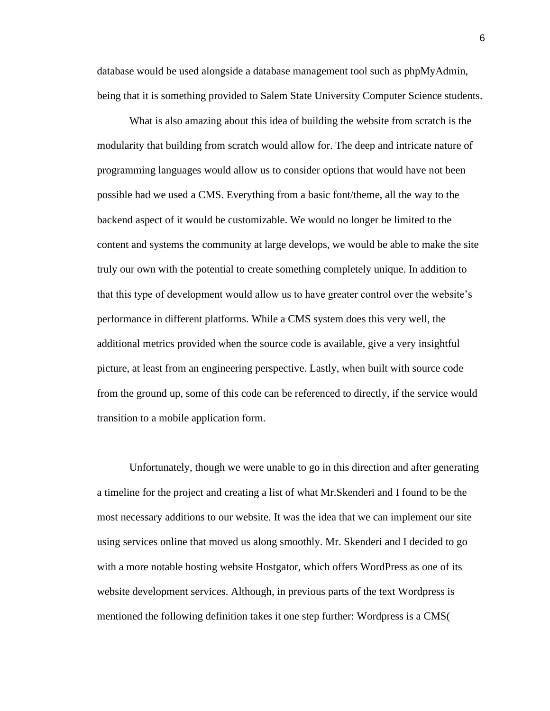database would be used alongside a database management tool such as phpMyAdmin, being that it is something provided to Salem State University Computer Science students.

What is also amazing about this idea of building the website from scratch is the modularity that building from scratch would allow for. The deep and intricate nature of programming languages would allow us to consider options that would have not been possible had we used a CMS. Everything from a basic font/theme, all the way to the backend aspect of it would be customizable. We would no longer be limited to the content and systems the community at large develops, we would be able to make the site truly our own with the potential to create something completely unique. In addition to that this type of development would allow us to have greater control over the website's performance in different platforms. While a CMS system does this very well, the additional metrics provided when the source code is available, give a very insightful picture, at least from an engineering perspective. Lastly, when built with source code from the ground up, some of this code can be referenced to directly, if the service would transition to a mobile application form.

Unfortunately, though we were unable to go in this direction and after generating a timeline for the project and creating a list of what Mr.Skenderi and I found to be the most necessary additions to our website. It was the idea that we can implement our site using services online that moved us along smoothly. Mr. Skenderi and I decided to go with a more notable hosting website Hostgator, which offers WordPress as one of its website development services. Although, in previous parts of the text Wordpress is mentioned the following definition takes it one step further: Wordpress is a CMS(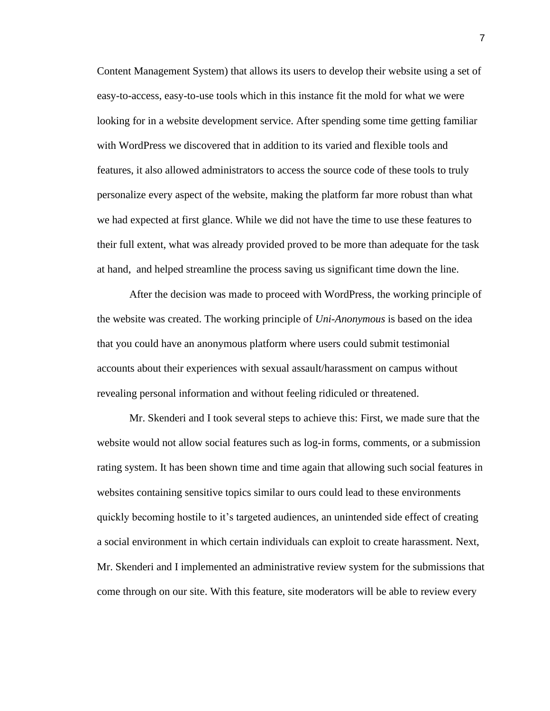Content Management System) that allows its users to develop their website using a set of easy-to-access, easy-to-use tools which in this instance fit the mold for what we were looking for in a website development service. After spending some time getting familiar with WordPress we discovered that in addition to its varied and flexible tools and features, it also allowed administrators to access the source code of these tools to truly personalize every aspect of the website, making the platform far more robust than what we had expected at first glance. While we did not have the time to use these features to their full extent, what was already provided proved to be more than adequate for the task at hand, and helped streamline the process saving us significant time down the line.

After the decision was made to proceed with WordPress, the working principle of the website was created. The working principle of *Uni-Anonymous* is based on the idea that you could have an anonymous platform where users could submit testimonial accounts about their experiences with sexual assault/harassment on campus without revealing personal information and without feeling ridiculed or threatened.

Mr. Skenderi and I took several steps to achieve this: First, we made sure that the website would not allow social features such as log-in forms, comments, or a submission rating system. It has been shown time and time again that allowing such social features in websites containing sensitive topics similar to ours could lead to these environments quickly becoming hostile to it's targeted audiences, an unintended side effect of creating a social environment in which certain individuals can exploit to create harassment. Next, Mr. Skenderi and I implemented an administrative review system for the submissions that come through on our site. With this feature, site moderators will be able to review every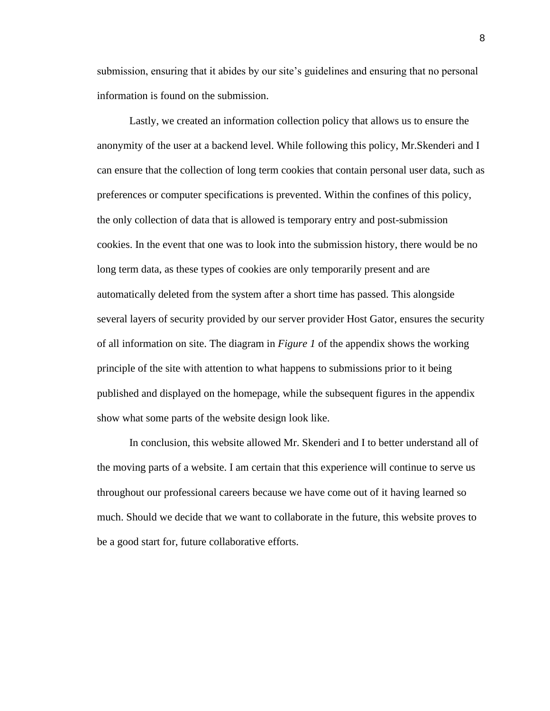submission, ensuring that it abides by our site's guidelines and ensuring that no personal information is found on the submission.

Lastly, we created an information collection policy that allows us to ensure the anonymity of the user at a backend level. While following this policy, Mr.Skenderi and I can ensure that the collection of long term cookies that contain personal user data, such as preferences or computer specifications is prevented. Within the confines of this policy, the only collection of data that is allowed is temporary entry and post-submission cookies. In the event that one was to look into the submission history, there would be no long term data, as these types of cookies are only temporarily present and are automatically deleted from the system after a short time has passed. This alongside several layers of security provided by our server provider Host Gator, ensures the security of all information on site. The diagram in *Figure 1* of the appendix shows the working principle of the site with attention to what happens to submissions prior to it being published and displayed on the homepage, while the subsequent figures in the appendix show what some parts of the website design look like.

In conclusion, this website allowed Mr. Skenderi and I to better understand all of the moving parts of a website. I am certain that this experience will continue to serve us throughout our professional careers because we have come out of it having learned so much. Should we decide that we want to collaborate in the future, this website proves to be a good start for, future collaborative efforts.